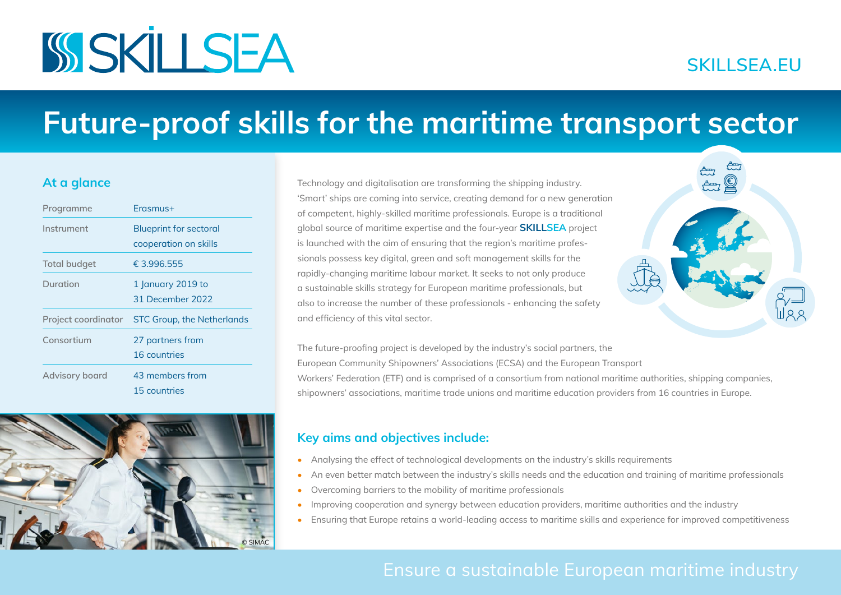# S[SKILLSEA.EU](http://www.SKILLSEA.EU)

# **Future-proof skills for the maritime transport sector**

#### **At a glance**

| Programme           | Frasmus+                                               |
|---------------------|--------------------------------------------------------|
| Instrument          | <b>Blueprint for sectoral</b><br>cooperation on skills |
| <b>Total budget</b> | € 3.996.555                                            |
| Duration            | 1 January 2019 to<br>31 December 2022                  |
| Project coordinator | STC Group, the Netherlands                             |
| Consortium          | 27 partners from<br>16 countries                       |
| Advisory board      | 43 members from<br>15 countries                        |



Technology and digitalisation are transforming the shipping industry. 'Smart' ships are coming into service, creating demand for a new generation of competent, highly-skilled maritime professionals. Europe is a traditional global source of maritime expertise and the four-year **SKILLSEA** project is launched with the aim of ensuring that the region's maritime professionals possess key digital, green and soft management skills for the rapidly-changing maritime labour market. It seeks to not only produce a sustainable skills strategy for European maritime professionals, but also to increase the number of these professionals - enhancing the safety and efficiency of this vital sector.

The future-proofing project is developed by the industry's social partners, the European Community Shipowners' Associations (ECSA) and the European Transport Workers' Federation (ETF) and is comprised of a consortium from national maritime authorities, shipping companies, shipowners' associations, maritime trade unions and maritime education providers from 16 countries in Europe.

### **Key aims and objectives include:**

- Analysing the effect of technological developments on the industry's skills requirements
- An even better match between the industry's skills needs and the education and training of maritime professionals
- Overcoming barriers to the mobility of maritime professionals
- Improving cooperation and synergy between education providers, maritime authorities and the industry
- Ensuring that Europe retains a world-leading access to maritime skills and experience for improved competitiveness

## Ensure a sustainable European maritime industry